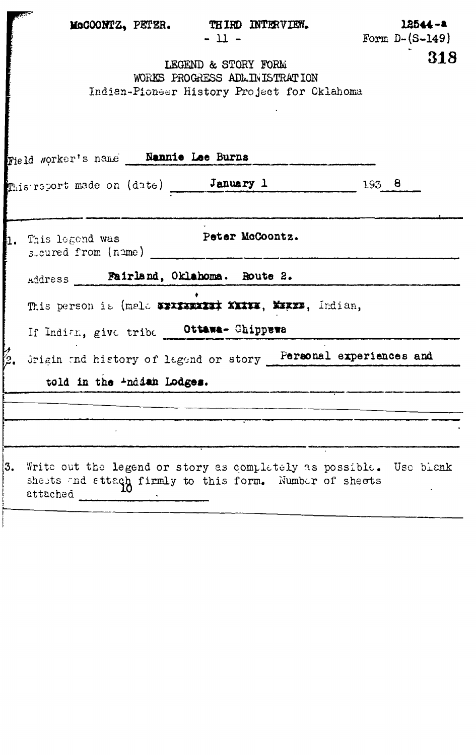|    | McCOONTZ, PETER. THIRD INTERVIEW.<br>$-11-$                                                                                               |       | $12544 - 4$<br>Form $D-(S-149)$ |
|----|-------------------------------------------------------------------------------------------------------------------------------------------|-------|---------------------------------|
|    | LEGEND & STORY FORM<br>WORKS PROGRESS ADMINISTRATION<br>Indian-Pionser History Project for Oklahoma                                       |       | 318                             |
|    | Field worker's name _ Nannie Lee Burns                                                                                                    |       |                                 |
|    | This report made on (date) January 1                                                                                                      | 193 8 |                                 |
| n. | Peter McCoontz.<br>This legend was<br>steured from (name)                                                                                 |       |                                 |
|    | Address Fairland, Oklahoma. Route 2.                                                                                                      |       |                                 |
|    | This person is (mala WIXIXIXIXIX XIXIX, XIXII, Indian,                                                                                    |       |                                 |
|    | If Indian, give tribe Ottawa- Chippewa                                                                                                    |       |                                 |
|    | Origin and history of lagand or story Personal experiences and                                                                            |       |                                 |
|    | told in the Anddah Lodges.                                                                                                                |       |                                 |
|    |                                                                                                                                           |       |                                 |
|    |                                                                                                                                           |       |                                 |
| 3. | Write out the legend or story as completely as possible. Use biank<br>shests and attach firmly to this form. Number of sheets<br>attached |       |                                 |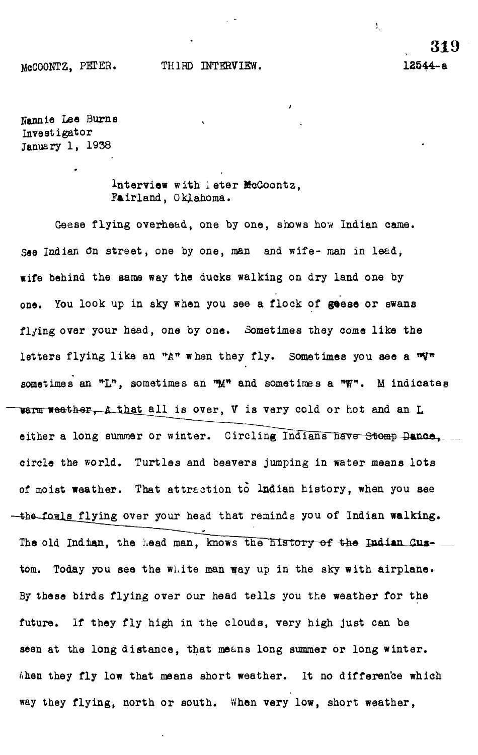## McCOONTZ, PETER. THIRD INTERVIEW. 12544-e

**319**

ŧ,

Nannie Lea Burns Investigator January 1, 1938

> Interview with leter McCoontz, Fairland, Oklahoma.

Geese flying overhead, one by one, shows how Indian came. *See* Indian 0n street , one by one, man and wife- man in leed, wife behind the same way the ducks walking on dry land one by one. You look up in sky when you see a flock of geese or swans flying over your head, one by one. Sometimes they come like the letters flying like an "A" when they fly. Sometimes you see a sometimes an "L", sometimes an "M" and sometimes a "W". M indicates warm weather, a that all is over, V is very cold or hot and an L either a long summer or winter. Circling Indians have Stomp-Dance, circle the world. Turtles and beavers jumping in water means lots of moist weather. That attraction to Indian history, when you see -the fowls flying over your head that reminds you of Indian walking. The old Indian, the head man, knows the history of the Indian Custom. Today you see the white man way up in the sky with airplane. By these birds flying over our head tells you the weather for the future. If they fly high in the clouds, very high just can be seen at the long distance, that means long summer or long winter.  $h$ hen they fly low that means short weather. It no difference which way they flying, north or south. When very low, short weather,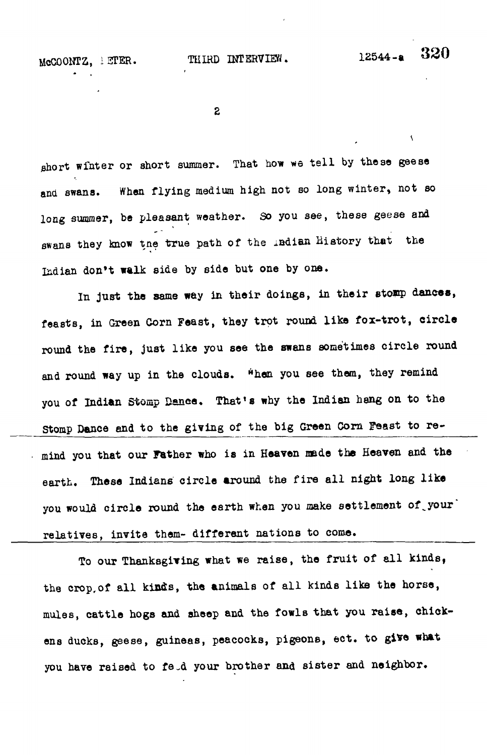McCOONTZ, IETER. THIRD INTERVIEW. 12544-a

 $\overline{\mathbf{A}}$ 

 $\overline{2}$ 

short winter or short summer. That how we tell by these geese and swans. When flying medium high not so long winter, not so long summer, be pleasant weather. So you see, these geese and swans they know the true path of the indian History that the Indian don't walk side by side but one by one.

In just the same way in their doings, in their stomp dances, feasts, in Green Corn Feast, they trot round like fox-trot, circle round the fire, just like you see the swans sometimes circle round and round way up in the clouds. When you see them, they remind you of Indian Stomp Dance, That's why the Indian hang on to the Stomp Dance and to the giving of the big Green Corn Feast to remind you that our Father who is in Heaven made the Heaven and the earth. These Indians circle around the fire all night long like you would circle round the earth when you make settlement of your relatives, invite them- different nations to come.

To our Thanksgiving what we raise, the fruit of all kinds, the crop, of all kinds, the animals of all kinds like the horse, mules, cattle hogs and sheep and the fowls that you raise, chickens ducks, geese, guineas, peacocks, pigeons, ect. to give what you have raised to feed your brother and sister and neighbor.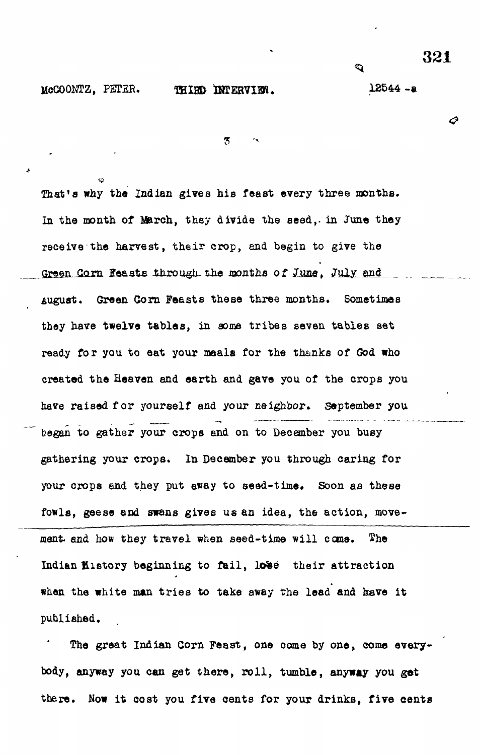♂

McCOOMTZ, PETER. THIRD INTERVIEW. 12544 -a

 $\hat{\mathbf{Q}}$ 

 $\overline{5}$ 

That's why the Indian gives his feast every three months. In the month of March, they divide the seed,, in June they receive the harvest, their crop, and begin to give the Green Corn Feasts through the months of June, July and August. Green Corn Feasts these three months. Sometimes they have twelve tables, in some tribes seven tables set ready for you to eat your meals for the thanks of God who created the Heaven and earth and gave you of the crops you have raised for yourself and your neighbor. September you began to gather your crops and on to December you busy gathering your crops. In December you through caring for your crops end they put away to seed-time. Soon as these fowls, geese and swans gives us an idea, the action, movement- and how they travel when seed-time will come. The Indian filstory beginning to fail, lose their attraction when the white man tries to take away the lead and have it published.

The great Indian Gorn Feast, one come by one, come everybody, anyway you can get there, roll, tumble, anyway you get there. Now it cost you five cents for your drinks, five cents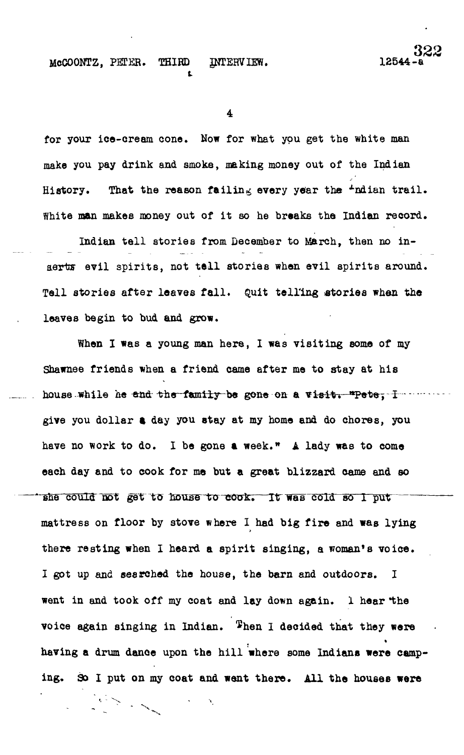## McCOONTZ, PETER. THIRD INTERVIEW. 1254

**t**

 $\overline{\mathbf{4}}$ 

for your ice-cream cone. Now for what you get the white man make you pay drink and smoke, making money out of the Indian History. That the reason failing every year the  $\pm$ ndian trail. White man makes money out of it so he breaks the Indian record.

Indian tell stories from December to March, then no inaerts evil spirits, not tell stories when evil spirits around. Tell stories after leaves fall. Quit telling stories when the leaves begin to bud and grow.

When I was a young man here, I was visiting some of my Shawnee friends when a friend came after me to stay at his house while he and the family be gone on a visit. \*Pete, I — …… give you dollar a day you stay at my home and do chores, you have no work to do. I be gone a week." A lady was to come each day and to cook for me but a great blizzard came and so she could not get to house to cook. It was cold so 1 put mattress on floor by stove where I had big fire and was lying there resting when I heard a spirit singing, a woman\*s voice. I got up and searched the house, the barn and outdoors. I went in and took off my coat and lay down again. I hear the voice again singing in Indian. Then I decided that they were having a drum dance upon the hill where some Indians were camping. So I put on my coat and went there. All the houses were

 $\mathcal{F} \rightarrow \mathcal{F}_{\mathcal{F}}$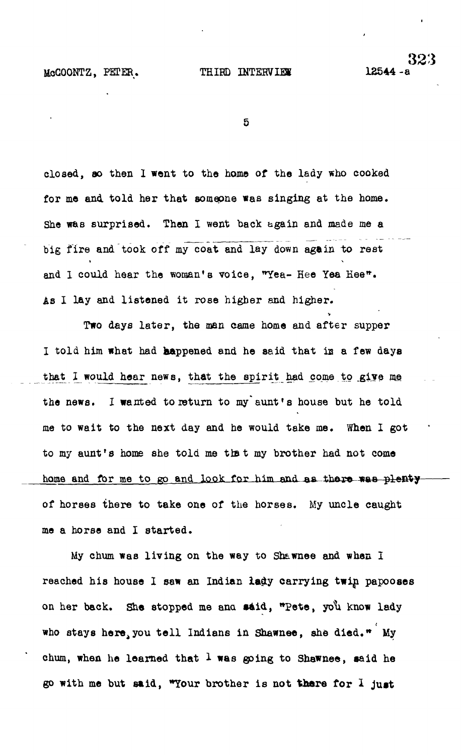McCOONTZ, PETER. THIRD INTERVIEW 12544

5

closed, so then I went to the home of the lady who cooked for me and told her that someone was singing at the home. She was surprised. Then I went back again and made me a big fire and took off my coat and lay down again to rest and I could hear the woman's voice, "Yea- Hee Yea Hee". As I lay and listened it rose higher and higher.

Two days later, the man came home and after supper I told him what had happened and he said that is a few days that I would hear news, that the spirit had come to give me the news. I wanted to return to my aunt's house but he told me to wait to the next day and he would take me. When I got to my aunt's home she told me thet my brother had not come home and for me to go and look for him and as there was plenty of horses there to take one of the horses. My uncle caught me a horse and I started .

My chum was living on the way to Shawnee and when I reached his house I saw an Indian lady carrying twin papooses on her back. She stopped me ana said, "Pete, yo'u know lady who stays here, you tell Indians in Shawnee, she died. " My chum, when he learned that  $1$  was going to Shawnee, said he go with me but said, "Your brother is not there for I just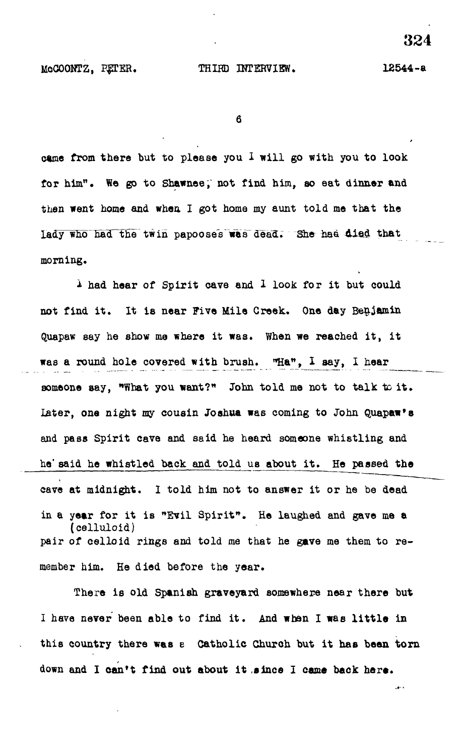6

came from there but to please you  $1$  will go with you to look for him". We go to Shawnee, not find him, so eat dinner and then went home and when I got home my aunt told me that the lady who had the twin papooses was dead. She had died that morning,

I had hear of Spirit cave and I look for it but could not find it. It is near Five Mile Creek. One day Benjamin Quapaw say he show me where it was. When we reached it, it was a round hole covered with brush. "Ha", I say, I hear someone say, "What you want?" John told me not to talk to it. later, one night my cousin Joshua was coming to John Quapaw\*s and pass Spirit cave and said he heard someone whistling and he' said he whistled back and told us about it. He passed the cave at midnight. I told him not to answer it or he be dead in a year for it is "Evil Spirit". He laughed and gave me a (celluloid)<br>pair of celloid rings and told me that he gave me them to remember him. He died before the year.

There is old Spanish graveyard somewhere near there but There is old Spanish graveyard somewhere near there but I have never been able to find it. And when I was little in In the case of the find it is a state of the individual term in the individual  $\mathcal{A}$ this country there was a Catholic Church but it has been torn this country there was expected but it has been torned but it has been torned but it has been torned but it has been to down and I can't find out about it since I came back here.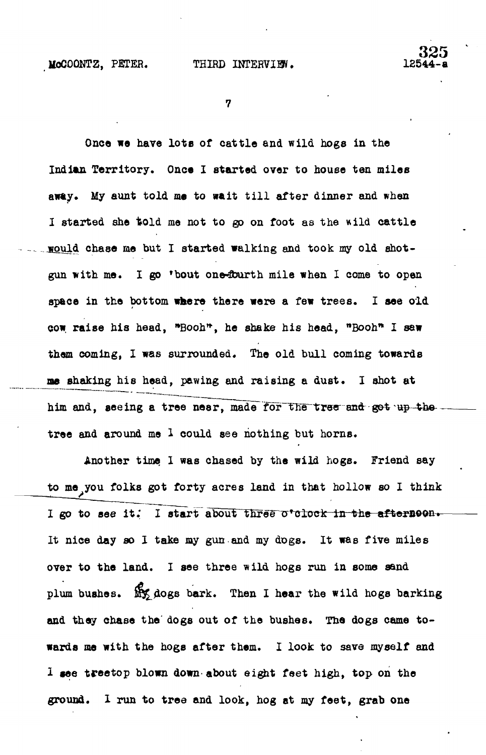$\boldsymbol{7}$ 

Once we have lots of cattle and wild hogs in the Indian Territory. Once I started over to house ten miles away. My aunt told me to wait till after dinner and when **I started she told me not to go on foot as the wild cattle <u>would</u> chase me but I started walking and took my old shot**gun with me. I go 'bout one-fourth mile when I come to open **space in the bottom where there were a few trees. I see old cow raise his head, \*Booh\*, he shake his head, "Booh\* I saw them coming, I was surrounded. The old bull coming towards me shaking his head, pawing and raising a dust. I shot at** him and, seeing a tree near, made for the tree and got up the **tree and around me 1 could see nothing but horns.**

**Another time 1 was chased by the wild hogs. Friend say to me you folks got forty acres land in that hollow so I think** I go to see it. I start about three o'clock in the afternoon. **It nice day so I take my gun and my dogs. It was five miles over to the land. I see three wild hogs run in some sand** plum bushes. My dogs bark. Then I hear the wild hogs barking **and they chase the' dogs out of the bushes. The dogs came towards me with the hogs after them. I look to save myself and I see treetop blown down-about eight feet high, top on the ground. I run to tree and look, hog at my feet, grab one**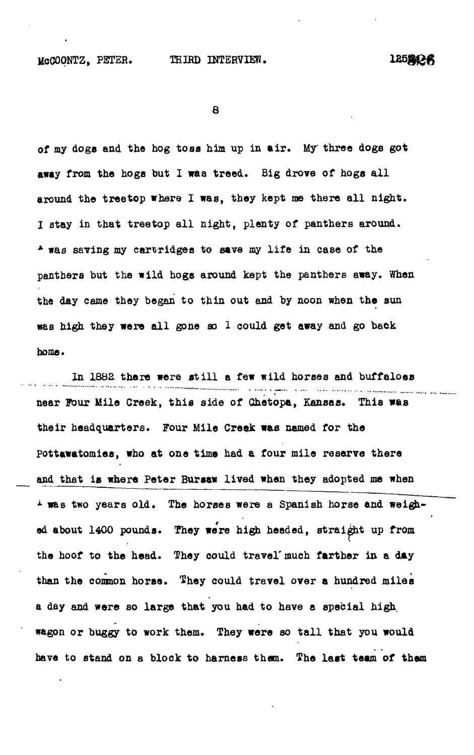12522-R

**8**

**of my dogs and the hog toss him up in air . My three doge got** away from the hogs but I was treed. Big drove of hogs all around the treetop where I was, they kept me there all night. I stay in that treetop all night, plenty of panthers around. **\* was saving my cartridges to save my lif e in ease of the panthers but the wild hogs around kept the panthers away. When the day came they began to thin out and by noon when the sun** was high they were all gone so 1 could get away and go back **home.**

In 1882 there were still a few wild horses and buffaloes near Four Mile Creek, this side of Chetopa, Kansas. This was **their headquarters. Four Mile Creek was named for the pottawatomies, who at one time had a four mile reserve there and that is where Peter Bursaw lived when they adopted me when <sup>1</sup> was two years old. The horses were a Spanish horse and weighed about 1400 pounds. They were high headed, straight up from** the hoof to the head. They could travel' much farther in a day **than the common horse. They could travel over a hundred miles a day and were so large that you had to have a special high, wagon or buggy to work them. They were so tall that you would have to stand on a block to harness them. The last team of them**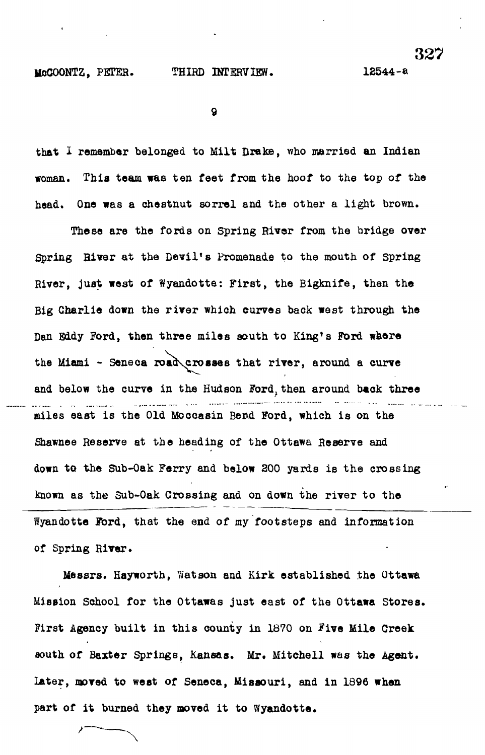327

 $\mathbf Q$ 

that I remember belonged to Milt Drake, who married an Indian woman. This team was ten feet from the hoof to the top of the head. One was a chestnut sorrel and the other a light brown.

These are the fords on Spring River from the bridge over Spring River at the Devil's Promenade to the mouth of Spring River, just west of Wyandotte: First, the Bigknife, then the Big Charlie down the river which curves back west through the Dan Eddy Ford, then three miles south to King's Ford where the Miami - Seneca road\crosses that river, around a curve and below the curve in the Hudson Ford, then around back three . . . . miles east is the Old Moccasin Bend Ford, which is on the Shawnee Reserve at the heading of the Ottawa Reserve and down to the Sub-Oak Ferry and below 200 yards is the crossing known as the 3ub-0ak Crossing and on down the river to the Wyandotte Ford, that the end of my footsteps and information of Spring River.

Messrs. Hayworth, Watson and Kirk established the Ottawa Mission School for the Ottawas just east of the Ottawa Stores. First Agency built in this county in 1870 on Five Mile Creek south of Baxter Springs, Kansas. Mr. Mitchell was the Agent. Later, moved to west of Seneca, Missouri, and in 1896 when part of it burned they moved it to Wyandotte.